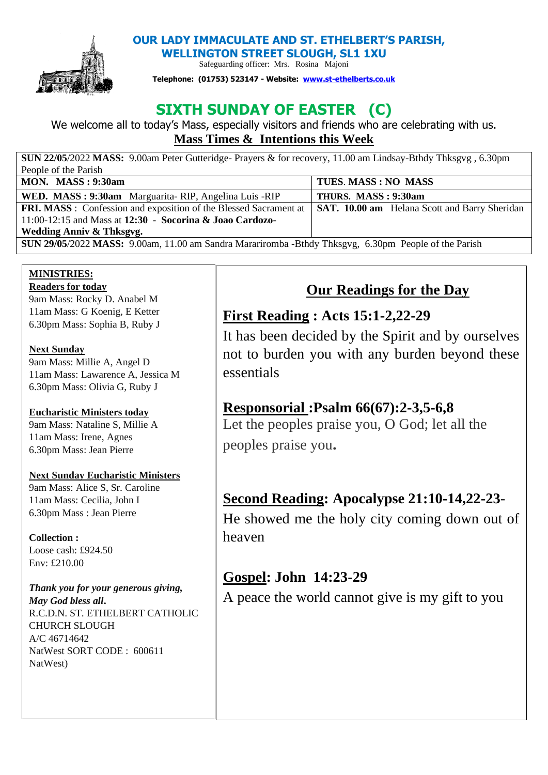

 **OUR LADY IMMACULATE AND ST. ETHELBERT'S PARISH, WELLINGTON STREET SLOUGH, SL1 1XU** 

Safeguarding officer: Mrs. Rosina Majoni

**Telephone: (01753) 523147 - Website: [www.st-ethelberts.co.uk](about:blank)**

# **SIXTH SUNDAY OF EASTER**

We welcome all to today's Mass, especially visitors and friends who are celebrating with us. **Mass Times & Intentions this Week** 

| SUN 22/05/2022 MASS: 9.00am Peter Gutteridge- Prayers & for recovery, 11.00 am Lindsay-Bthdy Thksgyg, 6.30pm |                                                      |
|--------------------------------------------------------------------------------------------------------------|------------------------------------------------------|
| People of the Parish                                                                                         |                                                      |
| MON. MASS: $9:30am$                                                                                          | TUES. MASS: NO MASS                                  |
| WED. MASS: 9:30am Marguarita-RIP, Angelina Luis -RIP                                                         | THURS. MASS: 9:30am                                  |
| <b>FRI. MASS</b> : Confession and exposition of the Blessed Sacrament at                                     | <b>SAT. 10.00 am</b> Helana Scott and Barry Sheridan |
| 11:00-12:15 and Mass at 12:30 - Socorina & Joao Cardozo-                                                     |                                                      |
| Wedding Anniv & Thksgvg.                                                                                     |                                                      |
| SUN 29/05/2022 MASS: 9.00am, 11.00 am Sandra Marariromba -Bthdy Thksgvg, 6.30pm People of the Parish         |                                                      |

# **MINISTRIES:**

**Readers for today**  9am Mass: Rocky D. Anabel M 11am Mass: G Koenig, E Ketter 6.30pm Mass: Sophia B, Ruby J

### **Next Sunday**

9am Mass: Millie A, Angel D 11am Mass: Lawarence A, Jessica M 6.30pm Mass: Olivia G, Ruby J

## **Eucharistic Ministers today**

9am Mass: Nataline S, Millie A 11am Mass: Irene, Agnes 6.30pm Mass: Jean Pierre

### **Next Sunday Eucharistic Ministers**

9am Mass: Alice S, Sr. Caroline 11am Mass: Cecilia, John I 6.30pm Mass : Jean Pierre

## **Collection :**

Loose cash: £924.50 Env: £210.00

*Thank you for your generous giving, May God bless all***.**  R.C.D.N. ST. ETHELBERT CATHOLIC CHURCH SLOUGH A/C 46714642 NatWest SORT CODE : 600611 NatWest)

# **Our Readings for the Day**

## **First Reading : Acts 15:1-2,22-29**

It has been decided by the Spirit and by ourselves not to burden you with any burden beyond these essentials

## **Responsorial :Psalm 66(67):2-3,5-6,8**

Let the peoples praise you, O God; let all the peoples praise you**.**

## **Second Reading: Apocalypse 21:10-14,22-23**-

He showed me the holy city coming down out of heaven

## **Gospel: John 14:23-29**

A peace the world cannot give is my gift to you